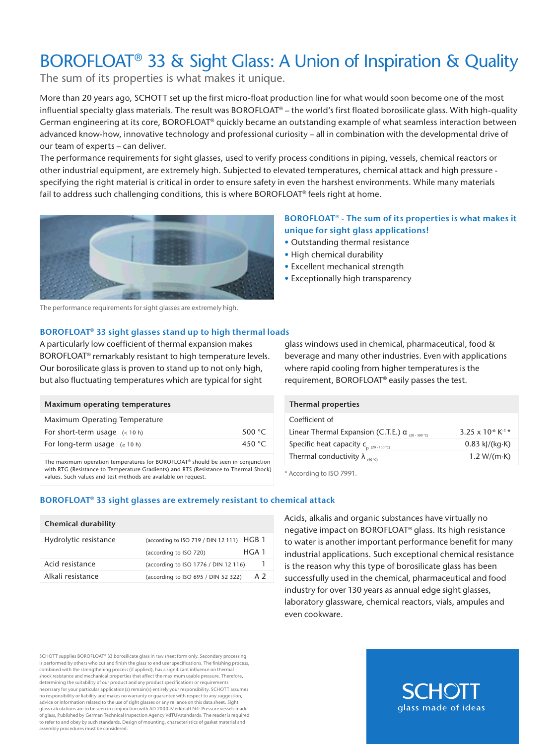# BOROFLOAT<sup>®</sup> 33 & Sight Glass: A Union of Inspiration & Quality

The sum of its properties is what makes it unique.

More than 20 years ago, SCHOTT set up the first micro-float production line for what would soon become one of the most influential specialty glass materials. The result was BOROFLOAT® – the world's first floated borosilicate glass. With high-quality German engineering at its core, BOROFLOAT® quickly became an outstanding example of what seamless interaction between advanced know-how, innovative technology and professional curiosity – all in combination with the developmental drive of our team of experts – can deliver.

The performance requirements for sight glasses, used to verify process conditions in piping, vessels, chemical reactors or other industrial equipment, are extremely high. Subjected to elevated temperatures, chemical attack and high pressure specifying the right material is critical in order to ensure safety in even the harshest environments. While many materials fail to address such challenging conditions, this is where BOROFLOAT® feels right at home.



The performance requirements for sight glasses are extremely high.

#### **BOROFLOAT**® **33 sight glasses stand up to high thermal loads**

A particularly low coefficient of thermal expansion makes BOROFLOAT® remarkably resistant to high temperature levels. Our borosilicate glass is proven to stand up to not only high, but also fluctuating temperatures which are typical for sight

| Maximum operating temperatures  |                 |
|---------------------------------|-----------------|
| Maximum Operating Temperature   |                 |
| For short-term usage $(< 10 h)$ | 500 $°C$        |
| For long-term usage $(2 10 h)$  | 450 $\degree$ C |

The maximum operation temperatures for BOROFLOAT® should be seen in conjunction with RTG (Resistance to Temperature Gradients) and RTS (Resistance to Thermal Shock) values. Such values and test methods are available on request.

## **BOROFLOAT® - The sum of its properties is what makes it unique for sight glass applications!**

- Outstanding thermal resistance
- High chemical durability
- Excellent mechanical strength
- Exceptionally high transparency

glass windows used in chemical, pharmaceutical, food & beverage and many other industries. Even with applications where rapid cooling from higher temperatures is the requirement, BOROFLOAT® easily passes the test.

| <b>Thermal properties</b>                                            |                                           |
|----------------------------------------------------------------------|-------------------------------------------|
| Coefficient of                                                       |                                           |
| Linear Thermal Expansion (C.T.E.) $\alpha_{(20.300\degree\text{C})}$ | 3.25 x 10 <sup>-6</sup> K <sup>-1</sup> * |
| Specific heat capacity $C_{p(20-100°C)}$                             | $0.83$ kJ/(kg $\cdot$ K)                  |
| Thermal conductivity $\lambda_{\text{one}}$                          | 1.2 W/(m $\cdot$ K)                       |

\* According to ISO 7991.

#### **BOROFLOAT**® **33 sight glasses are extremely resistant to chemical attack**

| (according to ISO 719 / DIN 12 111) $HGB$ 1 |      |
|---------------------------------------------|------|
| (according to ISO 720)                      | HGA1 |
| (according to ISO 1776 / DIN 12 116)        |      |
| (according to ISO 695 / DIN 52 322)         | A 2  |
|                                             |      |

Acids, alkalis and organic substances have virtually no negative impact on BOROFLOAT® glass. Its high resistance to water is another important performance benefit for many industrial applications. Such exceptional chemical resistance is the reason why this type of borosilicate glass has been successfully used in the chemical, pharmaceutical and food industry for over 130 years as annual edge sight glasses, laboratory glassware, chemical reactors, vials, ampules and even cookware.

SCHOTT supplies BOROFLOAT® 33 borosilicate glass in raw sheet form only. Secondary processin is performed by others who cut and finish the glass to end user specifications. The finishing process, mbined with the strengthening process (if applied), has a significant influence on therm shock resistance and mechanical properties that affect the maximum usable pressure. Therefore, determining the suitability of our product and any product specifications or requirements necessary for your particular application(s) remain(s) entirely your responsibility. SCHOTT assumes no responsibility or liability and makes no warranty or guarantee with respect to any suggestion, advice or information related to the use of sight glasses or any reliance on this data sheet. Sight glass calculations are to be seen in conjunction with AD 2000-Merkblatt N4: Pressure vessels made of glass, Published by German Technical Inspection Agency VdTÜVstandards. The reader is required to refer to and obey by such standards. Design of mounting, characteristics of gasket material and assembly procedures must be considered.